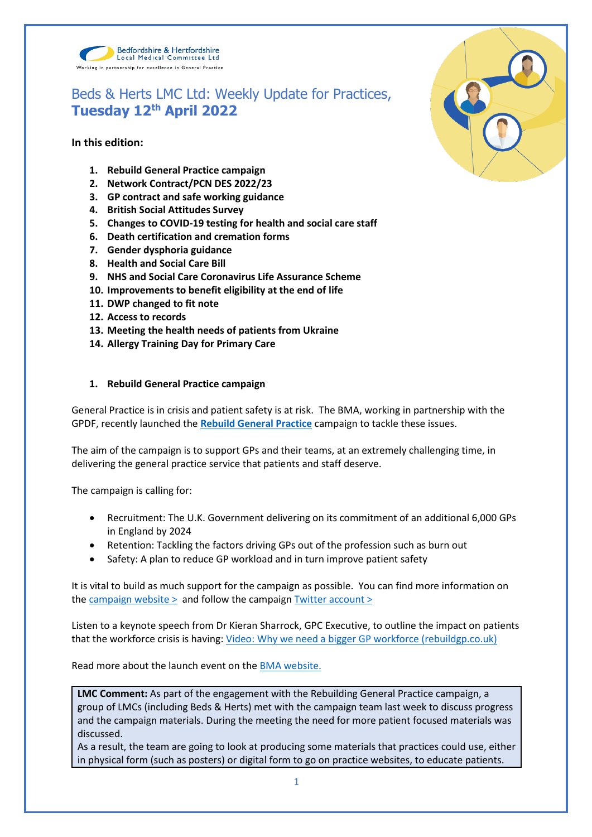

# Beds & Herts LMC Ltd: Weekly Update for Practices, **Tuesday 12th April 2022**

# **In this edition:**

- **1. Rebuild General Practice campaign**
- **2. Network Contract/PCN DES 2022/23**
- **3. GP contract and safe working guidance**
- **4. British Social Attitudes Survey**
- **5. Changes to COVID-19 testing for health and social care staff**
- **6. Death certification and cremation forms**
- **7. Gender dysphoria guidance**
- **8. Health and Social Care Bill**
- **9. NHS and Social Care Coronavirus Life Assurance Scheme**
- **10. Improvements to benefit eligibility at the end of life**
- **11. DWP changed to fit note**
- **12. Access to records**
- **13. Meeting the health needs of patients from Ukraine**
- **14. Allergy Training Day for Primary Care**

# **1. Rebuild General Practice campaign**

General Practice is in crisis and patient safety is at risk. The BMA, working in partnership with the GPDF, recently launched the **[Rebuild General Practice](https://bma-mail.org.uk/t/JVX-7SE2J-JCJOU4-4QTDV1-1/c.aspx)** campaign to tackle these issues.

The aim of the campaign is to support GPs and their teams, at an extremely challenging time, in delivering the general practice service that patients and staff deserve.

The campaign is calling for:

- Recruitment: The U.K. Government delivering on its commitment of an additional 6,000 GPs in England by 2024
- Retention: Tackling the factors driving GPs out of the profession such as burn out
- Safety: A plan to reduce GP workload and in turn improve patient safety

It is vital to build as much support for the campaign as possible. You can find more information on the campaign website  $>$  and follow the campaign Twitter account  $>$ 

Listen to a keynote speech from Dr Kieran Sharrock, GPC Executive, to outline the impact on patients that the workforce crisis is having: [Video: Why we need a bigger GP workforce \(rebuildgp.co.uk\)](http://www.rebuildgp.co.uk/campaign-assets/video-why-we-need-a-bigger-gp-workforce)

Read more about the launch event on the [BMA website.](https://www.bma.org.uk/news-and-opinion/gp-campaign-time-to-rebuild-general-practice)

**LMC Comment:** As part of the engagement with the Rebuilding General Practice campaign, a group of LMCs (including Beds & Herts) met with the campaign team last week to discuss progress and the campaign materials. During the meeting the need for more patient focused materials was discussed.

As a result, the team are going to look at producing some materials that practices could use, either in physical form (such as posters) or digital form to go on practice websites, to educate patients.

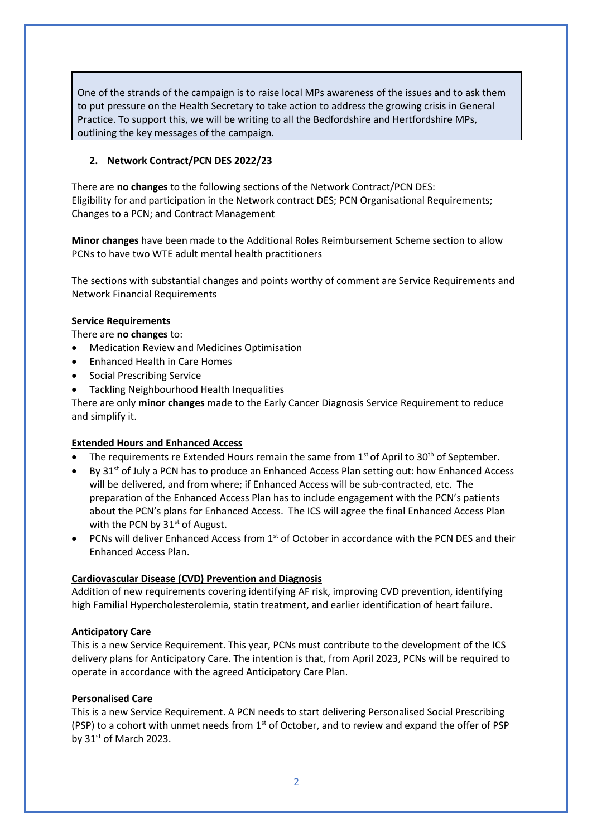One of the strands of the campaign is to raise local MPs awareness of the issues and to ask them to put pressure on the Health Secretary to take action to address the growing crisis in General Practice. To support this, we will be writing to all the Bedfordshire and Hertfordshire MPs, outlining the key messages of the campaign.

## **2. Network Contract/PCN DES 2022/23**

There are **no changes** to the following sections of the Network Contract/PCN DES: Eligibility for and participation in the Network contract DES; PCN Organisational Requirements; Changes to a PCN; and Contract Management

**Minor changes** have been made to the Additional Roles Reimbursement Scheme section to allow PCNs to have two WTE adult mental health practitioners

The sections with substantial changes and points worthy of comment are Service Requirements and Network Financial Requirements

#### **Service Requirements**

There are **no changes** to:

- Medication Review and Medicines Optimisation
- Enhanced Health in Care Homes
- Social Prescribing Service
- Tackling Neighbourhood Health Inequalities

There are only **minor changes** made to the Early Cancer Diagnosis Service Requirement to reduce and simplify it.

#### **Extended Hours and Enhanced Access**

- The requirements re Extended Hours remain the same from  $1<sup>st</sup>$  of April to 30<sup>th</sup> of September.
- By 31<sup>st</sup> of July a PCN has to produce an Enhanced Access Plan setting out: how Enhanced Access will be delivered, and from where; if Enhanced Access will be sub-contracted, etc. The preparation of the Enhanced Access Plan has to include engagement with the PCN's patients about the PCN's plans for Enhanced Access. The ICS will agree the final Enhanced Access Plan with the PCN by  $31<sup>st</sup>$  of August.
- PCNs will deliver Enhanced Access from  $1<sup>st</sup>$  of October in accordance with the PCN DES and their Enhanced Access Plan.

#### **Cardiovascular Disease (CVD) Prevention and Diagnosis**

Addition of new requirements covering identifying AF risk, improving CVD prevention, identifying high Familial Hypercholesterolemia, statin treatment, and earlier identification of heart failure.

#### **Anticipatory Care**

This is a new Service Requirement. This year, PCNs must contribute to the development of the ICS delivery plans for Anticipatory Care. The intention is that, from April 2023, PCNs will be required to operate in accordance with the agreed Anticipatory Care Plan.

#### **Personalised Care**

This is a new Service Requirement. A PCN needs to start delivering Personalised Social Prescribing (PSP) to a cohort with unmet needs from  $1<sup>st</sup>$  of October, and to review and expand the offer of PSP by  $31<sup>st</sup>$  of March 2023.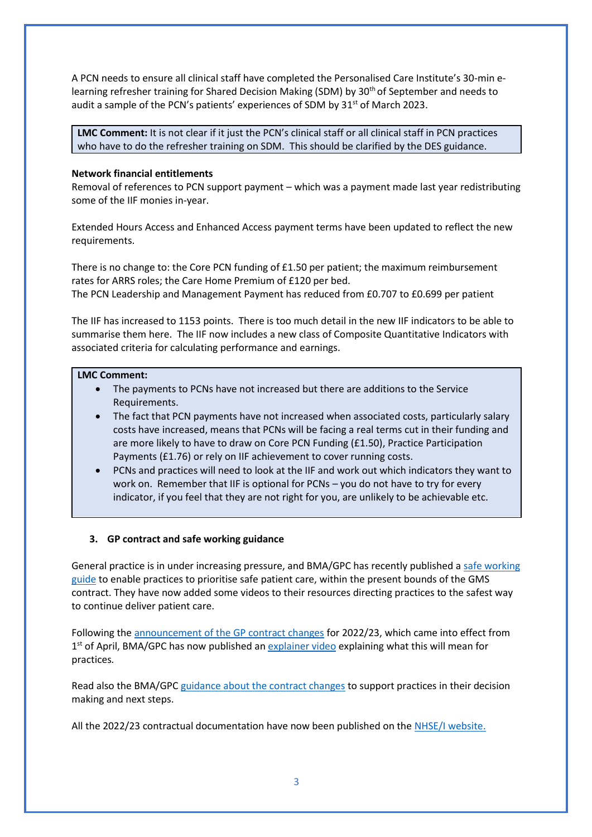A PCN needs to ensure all clinical staff have completed the Personalised Care Institute's 30-min elearning refresher training for Shared Decision Making (SDM) by 30<sup>th</sup> of September and needs to audit a sample of the PCN's patients' experiences of SDM by  $31<sup>st</sup>$  of March 2023.

**LMC Comment:** It is not clear if it just the PCN's clinical staff or all clinical staff in PCN practices who have to do the refresher training on SDM. This should be clarified by the DES guidance.

## **Network financial entitlements**

Removal of references to PCN support payment – which was a payment made last year redistributing some of the IIF monies in-year.

Extended Hours Access and Enhanced Access payment terms have been updated to reflect the new requirements.

There is no change to: the Core PCN funding of £1.50 per patient; the maximum reimbursement rates for ARRS roles; the Care Home Premium of £120 per bed. The PCN Leadership and Management Payment has reduced from £0.707 to £0.699 per patient

The IIF has increased to 1153 points. There is too much detail in the new IIF indicators to be able to summarise them here. The IIF now includes a new class of Composite Quantitative Indicators with associated criteria for calculating performance and earnings.

# **LMC Comment:**

- The payments to PCNs have not increased but there are additions to the Service Requirements.
- The fact that PCN payments have not increased when associated costs, particularly salary costs have increased, means that PCNs will be facing a real terms cut in their funding and are more likely to have to draw on Core PCN Funding (£1.50), Practice Participation Payments (£1.76) or rely on IIF achievement to cover running costs.
- PCNs and practices will need to look at the IIF and work out which indicators they want to work on. Remember that IIF is optional for PCNs – you do not have to try for every indicator, if you feel that they are not right for you, are unlikely to be achievable etc.

# **3. GP contract and safe working guidance**

General practice is in under increasing pressure, and BMA/GPC has recently published a [safe working](https://www.bma.org.uk/advice-and-support/gp-practices/managing-workload/safe-working-in-general-practice)  [guide](https://www.bma.org.uk/advice-and-support/gp-practices/managing-workload/safe-working-in-general-practice) to enable practices to prioritise safe patient care, within the present bounds of the GMS contract. They have now added some videos to their resources directing practices to the safest way to continue deliver patient care.

Following the [announcement of the GP contract changes](https://www.england.nhs.uk/publication/letter-general-practice-contract-arrangements-in-2022-23/) for 2022/23, which came into effect from 1<sup>st</sup> of April, BMA/GPC has now published an **explainer video** explaining what this will mean for practices*.*

Read also the BMA/GPC [guidance about the contract changes](https://www.bma.org.uk/pay-and-contracts/contracts/gp-contract/gp-contract-changes-england-202223) to support practices in their decision making and next steps.

All the 2022/23 contractual documentation have now been published on the [NHSE/I website.](https://www.england.nhs.uk/gp/investment/gp-contract/)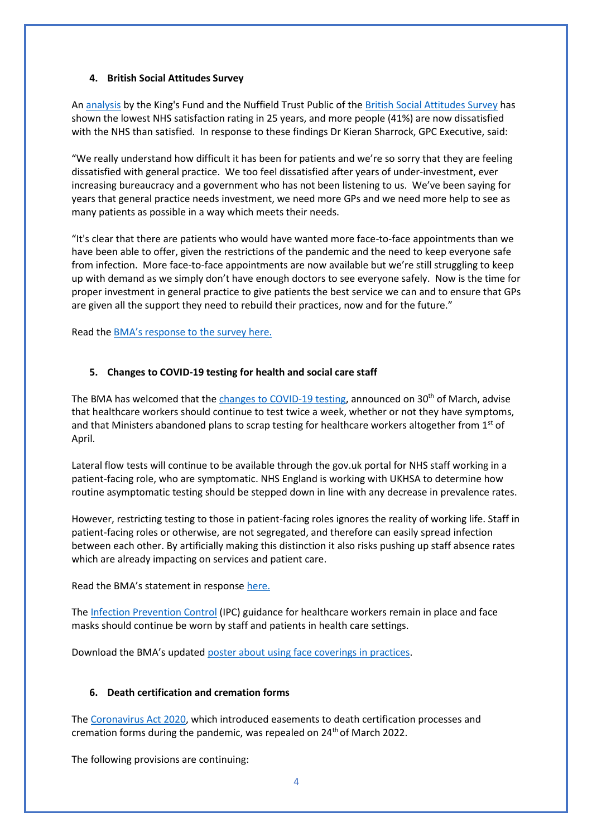#### **4. British Social Attitudes Survey**

A[n analysis](https://www.nuffieldtrust.org.uk/research/public-satisfaction-with-the-nhs-and-social-care-in-2021-results-from-the-british-social-attitudes-survey?gclid=EAIaIQobChMIzJeEiY_69gIVFpftCh38_gSMEAAYASAAEgIaivD_BwE) by the King's Fund and the Nuffield Trust Public of the [British Social Attitudes Survey](https://bsa.natcen.ac.uk/latest-report/british-social-attitudes-38/introduction.aspx) has shown the lowest NHS satisfaction rating in 25 years, and more people (41%) are now dissatisfied with the NHS than satisfied. In response to these findings Dr Kieran Sharrock, GPC Executive, said:

"We really understand how difficult it has been for patients and we're so sorry that they are feeling dissatisfied with general practice. We too feel dissatisfied after years of under-investment, ever increasing bureaucracy and a government who has not been listening to us. We've been saying for years that general practice needs investment, we need more GPs and we need more help to see as many patients as possible in a way which meets their needs.

"It's clear that there are patients who would have wanted more face-to-face appointments than we have been able to offer, given the restrictions of the pandemic and the need to keep everyone safe from infection. More face-to-face appointments are now available but we're still struggling to keep up with demand as we simply don't have enough doctors to see everyone safely. Now is the time for proper investment in general practice to give patients the best service we can and to ensure that GPs are given all the support they need to rebuild their practices, now and for the future."

Read the [BMA's response to th](https://www.bma.org.uk/bma-media-centre/british-social-attitudes-survey-should-be-a-wake-up-call-for-the-government-says-bma)e survey here.

#### **5. Changes to COVID-19 testing for health and social care staff**

The BMA has welcomed that the [changes to COVID-19 testing,](https://www.england.nhs.uk/coronavirus/publication/living-with-covid-19-testing-update/) announced on  $30<sup>th</sup>$  of March, advise that healthcare workers should continue to test twice a week, whether or not they have symptoms, and that Ministers abandoned plans to scrap testing for healthcare workers altogether from 1<sup>st</sup> of April.

Lateral flow tests will continue to be available through the gov.uk portal for NHS staff working in a patient-facing role, who are symptomatic. NHS England is working with UKHSA to determine how routine asymptomatic testing should be stepped down in line with any decrease in prevalence rates.

However, restricting testing to those in patient-facing roles ignores the reality of working life. Staff in patient-facing roles or otherwise, are not segregated, and therefore can easily spread infection between each other. By artificially making this distinction it also risks pushing up staff absence rates which are already impacting on services and patient care.

Read the BMA's statement in response [here.](https://www.bma.org.uk/bma-media-centre/bma-responds-to-government-s-changes-to-covid-19-testing-for-health-and-social-care-staff)

The [Infection Prevention Control](https://www.gov.uk/government/publications/wuhan-novel-coronavirus-infection-prevention-and-control) (IPC) guidance for healthcare workers remain in place and face masks should continue be worn by staff and patients in health care settings.

Download the BMA's updated [poster about using face coverings in practices.](https://www.bma.org.uk/media/5321/bma-visiting-your-gp-poster-mar2022.pdf)

#### **6. Death certification and cremation forms**

The [Coronavirus Act 2020,](https://services.parliament.uk/Bills/2019-21/coronavirus/documents.html) which introduced easements to death certification processes and cremation forms during the pandemic, was repealed on 24th of March 2022.

The following provisions are continuing: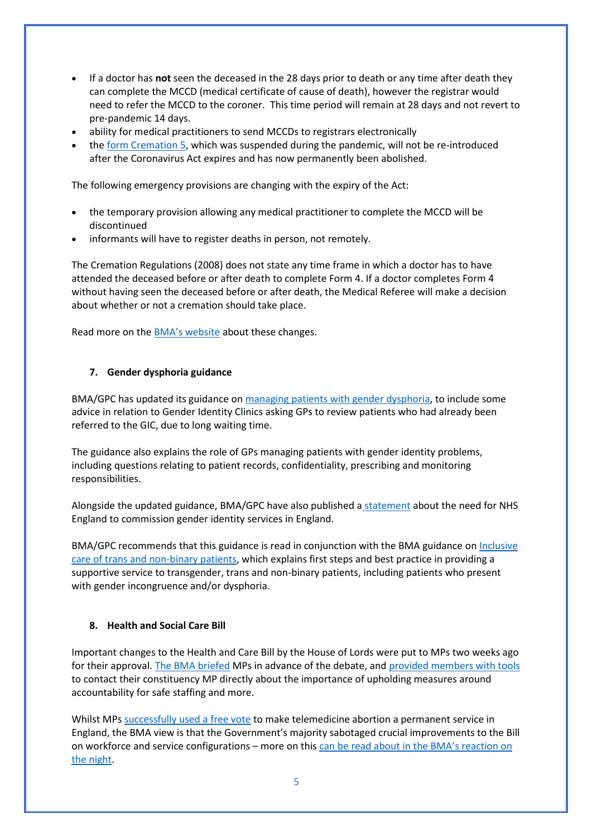- If a doctor has **not** seen the deceased in the 28 days prior to death or any time after death they can complete the MCCD (medical certificate of cause of death), however the registrar would need to refer the MCCD to the coroner. This time period will remain at 28 days and not revert to pre-pandemic 14 days.
- ability for medical practitioners to send MCCDs to registrars electronically
- th[e form Cremation 5,](https://www.gov.uk/government/collections/cremation-forms-and-guidance) which was suspended during the pandemic, will not be re-introduced after the Coronavirus Act expires and has now permanently been abolished.

The following emergency provisions are changing with the expiry of the Act:

- the temporary provision allowing any medical practitioner to complete the MCCD will be discontinued
- informants will have to register deaths in person, not remotely.

The Cremation Regulations (2008) does not state any time frame in which a doctor has to have attended the deceased before or after death to complete Form 4. If a doctor completes Form 4 without having seen the deceased before or after death, the Medical Referee will make a decision about whether or not a cremation should take place.

Read more on the [BMA's website](https://www.bma.org.uk/advice-and-support/covid-19/adapting-to-covid/covid-19-death-certification-and-cremation) about these changes.

# **7. Gender dysphoria guidance**

BMA/GPC has updated its guidance on [managing patients with gender dysphoria,](https://www.bma.org.uk/advice-and-support/gp-practices/gp-service-provision/managing-patients-with-gender-dysphoria) to include some advice in relation to Gender Identity Clinics asking GPs to review patients who had already been referred to the GIC, due to long waiting time.

The guidance also explains the role of GPs managing patients with gender identity problems, including questions relating to patient records, confidentiality, prescribing and monitoring responsibilities.

Alongside the updated guidance, BMA/GPC have also published a [statement](https://www.bma.org.uk/news-and-opinion/gpc-england-statement-on-commissioning-of-gender-identity-services-in-england) about the need for NHS England to commission gender identity services in England.

BMA/GPC recommends that this guidance is read in conjunction with the BMA guidance on [Inclusive](https://www.bma.org.uk/advice-and-support/equality-and-diversity-guidance/lgbtplus-equality-in-medicine/inclusive-care-of-trans-and-non-binary-patients)  [care of trans and non-binary patients,](https://www.bma.org.uk/advice-and-support/equality-and-diversity-guidance/lgbtplus-equality-in-medicine/inclusive-care-of-trans-and-non-binary-patients) which explains first steps and best practice in providing a supportive service to transgender, trans and non-binary patients, including patients who present with gender incongruence and/or dysphoria.

#### **8. Health and Social Care Bill**

Important changes to the Health and Care Bill by the House of Lords were put to MPs two weeks ago for their approval. [The BMA briefed](https://www.bma.org.uk/media/5472/bma-briefing-health-and-care-bill-consideration-of-amendments-mar-2022.pdf) MPs in advance of the debate, and [provided members with tools](https://e-activist.com/page/101793/action/1?ea.tracking.id=website?ea.tracking.id=website) to contact their constituency MP directly about the importance of upholding measures around accountability for safe staffing and more.

Whilst MPs [successfully used a free vote](https://twitter.com/TheBMA/status/1509524182081499140?s=20&t=ElE2jXewgaHVUAUCVozREw) to make telemedicine abortion a permanent service in England, the BMA view is that the Government's majority sabotaged crucial improvements to the Bill on workforce and service configurations – more on this [can be read about in the BMA's reaction on](https://www.bma.org.uk/bma-media-centre/truly-disappointing-says-bma-about-mps-voting-against-transparency-over-workforce-numbers)  [the night.](https://www.bma.org.uk/bma-media-centre/truly-disappointing-says-bma-about-mps-voting-against-transparency-over-workforce-numbers)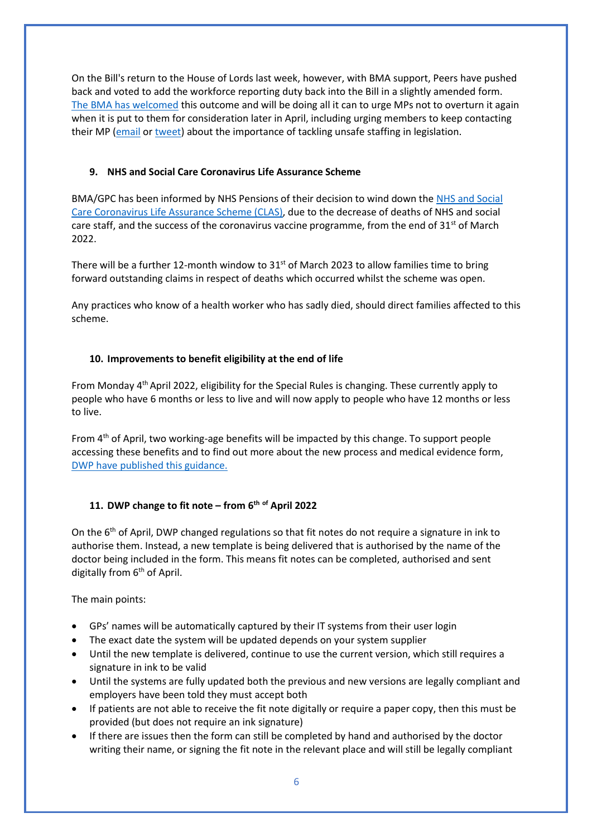On the Bill's return to the House of Lords last week, however, with BMA support, Peers have pushed back and voted to add the workforce reporting duty back into the Bill in a slightly amended form. [The BMA has welcomed](https://twitter.com/thebma/status/1511423710300934155?s=21&t=xVWAQZxkgR2fvlpAsTqvwg) this outcome and will be doing all it can to urge MPs not to overturn it again when it is put to them for consideration later in April, including urging members to keep contacting their MP [\(email](https://e-activist.com/page/101793/action/1?ea.tracking.id=website?ea.tracking.id=website) or [tweet\)](https://e-activist.com/page/102708/tweet/1?ea.tracking.id=website) about the importance of tackling unsafe staffing in legislation.

# **9. NHS and Social Care Coronavirus Life Assurance Scheme**

BMA/GPC has been informed by NHS Pensions of their decision to wind down the [NHS and Social](https://www.nhsbsa.nhs.uk/coronavirus-life-assurance-2020)  [Care Coronavirus Life Assurance Scheme \(CLAS\),](https://www.nhsbsa.nhs.uk/coronavirus-life-assurance-2020) due to the decrease of deaths of NHS and social care staff, and the success of the coronavirus vaccine programme, from the end of  $31<sup>st</sup>$  of March 2022.

There will be a further 12-month window to  $31<sup>st</sup>$  of March 2023 to allow families time to bring forward outstanding claims in respect of deaths which occurred whilst the scheme was open.

Any practices who know of a health worker who has sadly died, should direct families affected to this scheme.

# **10. Improvements to benefit eligibility at the end of life**

From Monday 4th April 2022, eligibility for the Special Rules is changing. These currently apply to people who have 6 months or less to live and will now apply to people who have 12 months or less to live.

From 4<sup>th</sup> of April, two working-age benefits will be impacted by this change. To support people accessing these benefits and to find out more about the new process and medical evidence form, [DWP have published this guidance.](http://www.gov.uk/dwp/special-rules)

# **11. DWP change to fit note – from 6th of April 2022**

On the 6<sup>th</sup> of April, DWP changed regulations so that fit notes do not require a signature in ink to authorise them. Instead, a new template is being delivered that is authorised by the name of the doctor being included in the form. This means fit notes can be completed, authorised and sent digitally from 6<sup>th</sup> of April.

The main points:

- GPs' names will be automatically captured by their IT systems from their user login
- The exact date the system will be updated depends on your system supplier
- Until the new template is delivered, continue to use the current version, which still requires a signature in ink to be valid
- Until the systems are fully updated both the previous and new versions are legally compliant and employers have been told they must accept both
- If patients are not able to receive the fit note digitally or require a paper copy, then this must be provided (but does not require an ink signature)
- If there are issues then the form can still be completed by hand and authorised by the doctor writing their name, or signing the fit note in the relevant place and will still be legally compliant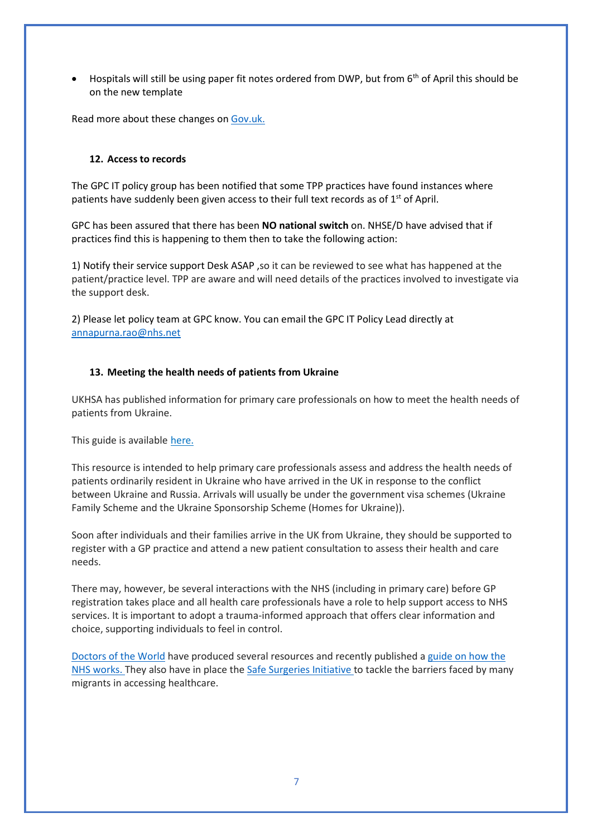• Hospitals will still be using paper fit notes ordered from DWP, but from  $6<sup>th</sup>$  of April this should be on the new template

Read more about these changes o[n Gov.uk.](https://www.gov.uk/government/collections/fit-note)

#### **12. Access to records**

The GPC IT policy group has been notified that some TPP practices have found instances where patients have suddenly been given access to their full text records as of  $1<sup>st</sup>$  of April.

GPC has been assured that there has been **NO national switch** on. NHSE/D have advised that if practices find this is happening to them then to take the following action:

1) Notify their service support Desk ASAP ,so it can be reviewed to see what has happened at the patient/practice level. TPP are aware and will need details of the practices involved to investigate via the support desk.

2) Please let policy team at GPC know. You can email the GPC IT Policy Lead directly at [annapurna.rao@nhs.net](mailto:annapurna.rao@nhs.net)

#### **13. Meeting the health needs of patients from Ukraine**

UKHSA has published information for primary care professionals on how to meet the health needs of patients from Ukraine.

This guide is available [here.](https://www.gov.uk/government/publications/arrivals-from-ukraine-advice-for-primary-care/arrivals-from-ukraine-advice-for-primary-care) 

This resource is intended to help primary care professionals assess and address the health needs of patients ordinarily resident in Ukraine who have arrived in the UK in response to the conflict between Ukraine and Russia. Arrivals will usually be under the government visa schemes (Ukraine Family Scheme and the Ukraine Sponsorship Scheme (Homes for Ukraine)).

Soon after individuals and their families arrive in the UK from Ukraine, they should be supported to register with a GP practice and attend a new patient consultation to assess their health and care needs.

There may, however, be several interactions with the NHS (including in primary care) before GP registration takes place and all health care professionals have a role to help support access to NHS services. It is important to adopt a trauma-informed approach that offers clear information and choice, supporting individuals to feel in control.

[Doctors of the World](https://www.doctorsoftheworld.org.uk/our-work/international/ukraine) have produced several resources and recently published [a guide on how the](https://www.doctorsoftheworld.org.uk/wp-content/uploads/2022/02/English_How-the-NHS-works-infographic.pdf)  [NHS works. T](https://www.doctorsoftheworld.org.uk/wp-content/uploads/2022/02/English_How-the-NHS-works-infographic.pdf)hey also have in place th[e Safe Surgeries Initiative t](https://www.doctorsoftheworld.org.uk/news/simple-steps-to-make-your-surgery-more-welcoming-to-refugees/)o tackle the barriers faced by many migrants in accessing healthcare.